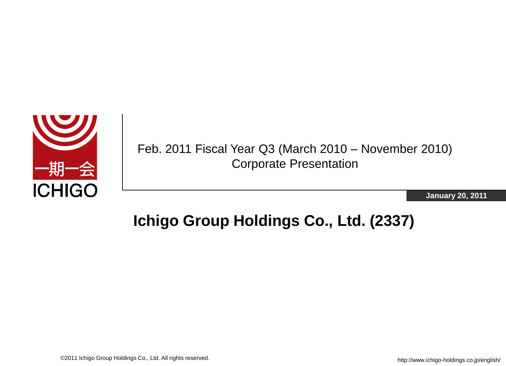

Feb. 2011 Fiscal Year Q3 (March 2010 – November 2010) Corporate Presentation

**January 20, 2011**

### **Ichigo Group Holdings Co., Ltd. (2337)**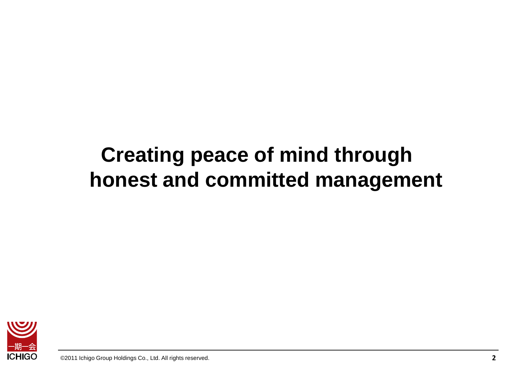# **Creating peace of mind through honest and committed management**

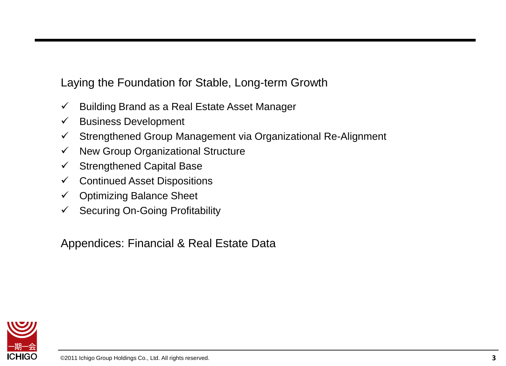Laying the Foundation for Stable, Long-term Growth

- $\checkmark$  Building Brand as a Real Estate Asset Manager
- $\checkmark$  Business Development
- $\checkmark$  Strengthened Group Management via Organizational Re-Alignment
- $\checkmark$  New Group Organizational Structure
- $\checkmark$  Strengthened Capital Base
- $\checkmark$  Continued Asset Dispositions
- $\checkmark$  Optimizing Balance Sheet
- $\checkmark$  Securing On-Going Profitability

Appendices: Financial & Real Estate Data

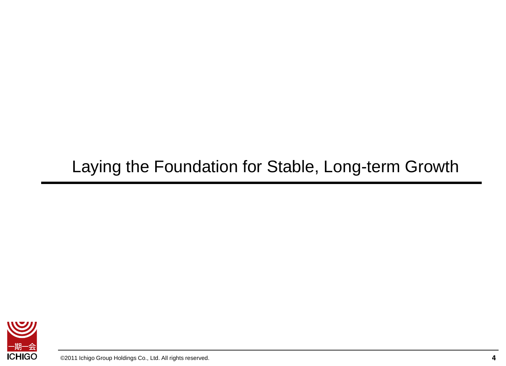# Laying the Foundation for Stable, Long-term Growth

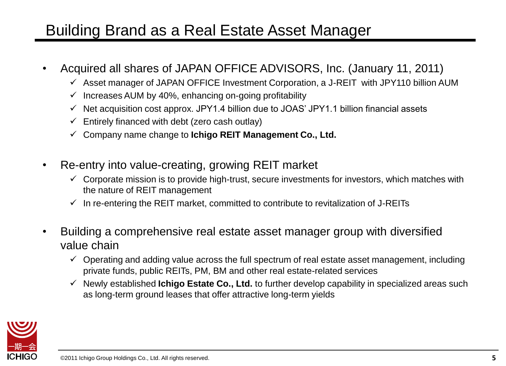### Building Brand as a Real Estate Asset Manager

- Acquired all shares of JAPAN OFFICE ADVISORS, Inc. (January 11, 2011)
	- $\checkmark$  Asset manager of JAPAN OFFICE Investment Corporation, a J-REIT with JPY110 billion AUM
	- $\checkmark$  Increases AUM by 40%, enhancing on-going profitability
	- $\checkmark$  Net acquisition cost approx. JPY1.4 billion due to JOAS' JPY1.1 billion financial assets
	- $\checkmark$  Entirely financed with debt (zero cash outlay)
	- Company name change to **Ichigo REIT Management Co., Ltd.**
- Re-entry into value-creating, growing REIT market
	- $\checkmark$  Corporate mission is to provide high-trust, secure investments for investors, which matches with the nature of REIT management
	- $\checkmark$  In re-entering the REIT market, committed to contribute to revitalization of J-REITs
- Building a comprehensive real estate asset manager group with diversified value chain
	- $\checkmark$  Operating and adding value across the full spectrum of real estate asset management, including private funds, public REITs, PM, BM and other real estate-related services
	- Newly established **Ichigo Estate Co., Ltd.** to further develop capability in specialized areas such as long-term ground leases that offer attractive long-term yields

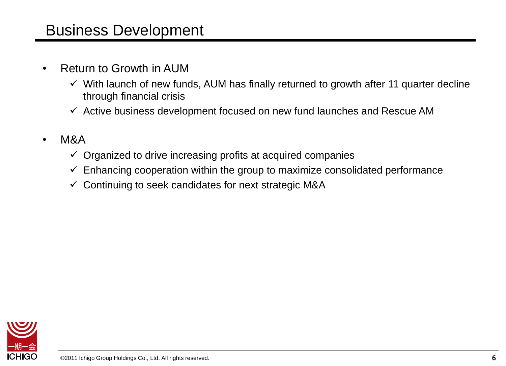#### Business Development

- Return to Growth in AUM
	- $\checkmark$  With launch of new funds, AUM has finally returned to growth after 11 quarter decline through financial crisis
	- $\checkmark$  Active business development focused on new fund launches and Rescue AM
- M&A
	- $\checkmark$  Organized to drive increasing profits at acquired companies
	- $\checkmark$  Enhancing cooperation within the group to maximize consolidated performance
	- $\checkmark$  Continuing to seek candidates for next strategic M&A

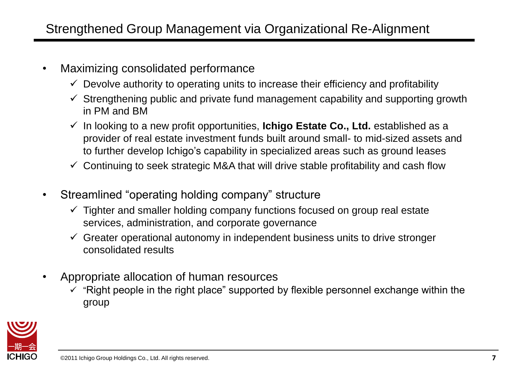- Maximizing consolidated performance
	- $\checkmark$  Devolve authority to operating units to increase their efficiency and profitability
	- $\checkmark$  Strengthening public and private fund management capability and supporting growth in PM and BM
	- In looking to a new profit opportunities, **Ichigo Estate Co., Ltd.** established as a provider of real estate investment funds built around small- to mid-sized assets and to further develop Ichigo's capability in specialized areas such as ground leases
	- $\checkmark$  Continuing to seek strategic M&A that will drive stable profitability and cash flow
- Streamlined "operating holding company" structure
	- $\checkmark$  Tighter and smaller holding company functions focused on group real estate services, administration, and corporate governance
	- $\checkmark$  Greater operational autonomy in independent business units to drive stronger consolidated results
- Appropriate allocation of human resources
	- $\checkmark$  "Right people in the right place" supported by flexible personnel exchange within the group

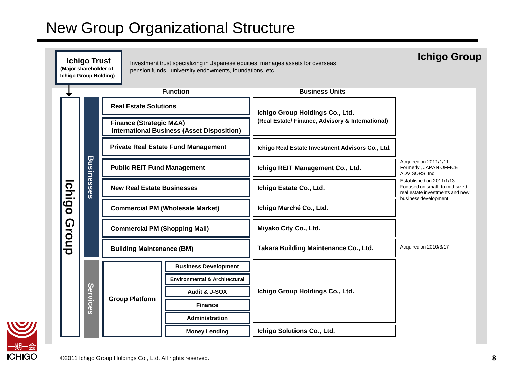### New Group Organizational Structure



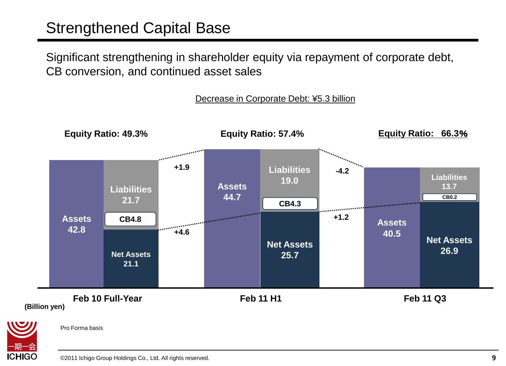#### Strengthened Capital Base

Significant strengthening in shareholder equity via repayment of corporate debt, CB conversion, and continued asset sales

#### Decrease in Corporate Debt: ¥5.3 billion





Pro Forma basis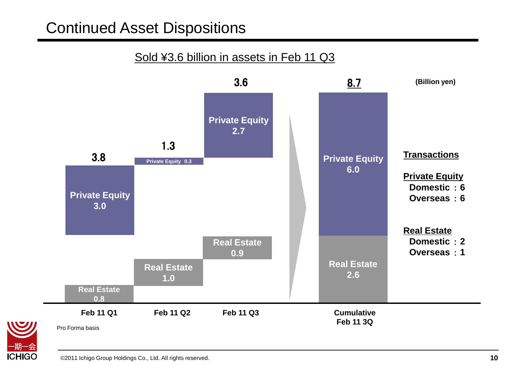#### Continued Asset Dispositions

#### Sold ¥3.6 billion in assets in Feb 11 Q3





Pro Forma basis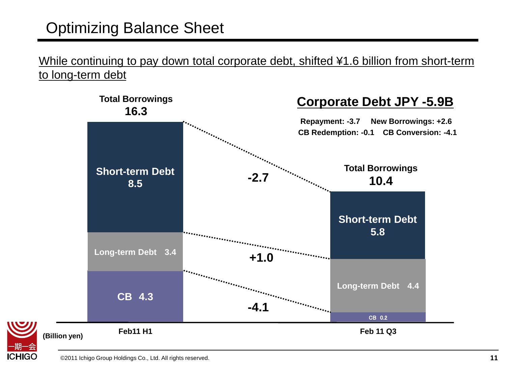### Optimizing Balance Sheet

While continuing to pay down total corporate debt, shifted ¥1.6 billion from short-term to long-term debt



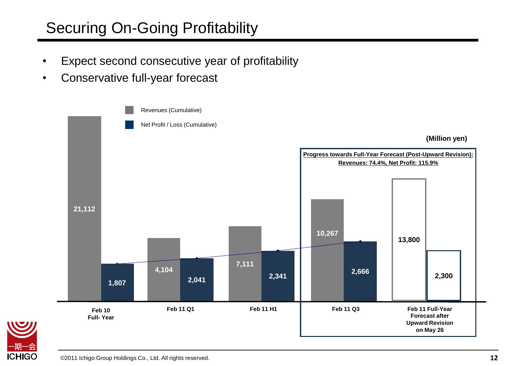### Securing On-Going Profitability

- Expect second consecutive year of profitability
- Conservative full-year forecast



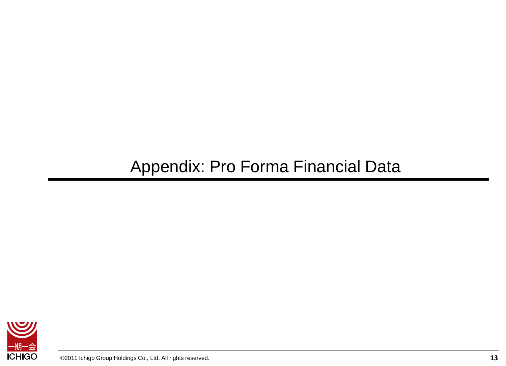# Appendix: Pro Forma Financial Data

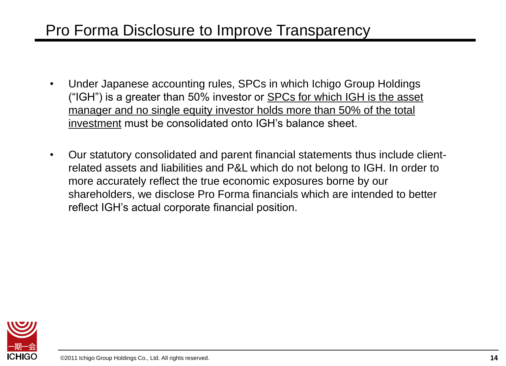#### Pro Forma Disclosure to Improve Transparency

- Under Japanese accounting rules, SPCs in which Ichigo Group Holdings ("IGH") is a greater than 50% investor or SPCs for which IGH is the asset manager and no single equity investor holds more than 50% of the total investment must be consolidated onto IGH's balance sheet.
- Our statutory consolidated and parent financial statements thus include clientrelated assets and liabilities and P&L which do not belong to IGH. In order to more accurately reflect the true economic exposures borne by our shareholders, we disclose Pro Forma financials which are intended to better reflect IGH's actual corporate financial position.

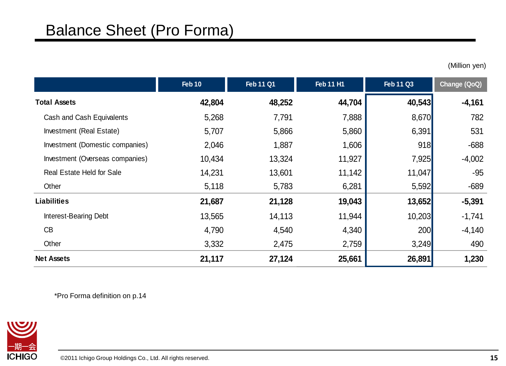(Million yen)

|                                 | <b>Feb 10</b> | <b>Feb 11 Q1</b> | <b>Feb 11 H1</b> | <b>Feb 11 Q3</b> | Change (QoQ) |
|---------------------------------|---------------|------------------|------------------|------------------|--------------|
| <b>Total Assets</b>             | 42,804        | 48,252           | 44,704           | 40,543           | $-4,161$     |
| Cash and Cash Equivalents       | 5,268         | 7,791            | 7,888            | 8,670            | 782          |
| Investment (Real Estate)        | 5,707         | 5,866            | 5,860            | 6,391            | 531          |
| Investment (Domestic companies) | 2,046         | 1,887            | 1,606            | 918              | $-688$       |
| Investment (Overseas companies) | 10,434        | 13,324           | 11,927           | 7,925            | $-4,002$     |
| Real Estate Held for Sale       | 14,231        | 13,601           | 11,142           | 11,047           | $-95$        |
| Other                           | 5,118         | 5,783            | 6,281            | 5,592            | $-689$       |
| <b>Liabilities</b>              | 21,687        | 21,128           | 19,043           | 13,652           | $-5,391$     |
| <b>Interest-Bearing Debt</b>    | 13,565        | 14,113           | 11,944           | 10,203           | $-1,741$     |
| CB                              | 4,790         | 4,540            | 4,340            | 200              | $-4,140$     |
| Other                           | 3,332         | 2,475            | 2,759            | 3,249            | 490          |
| <b>Net Assets</b>               | 21,117        | 27,124           | 25,661           | 26,891           | 1,230        |

\*Pro Forma definition on p.14

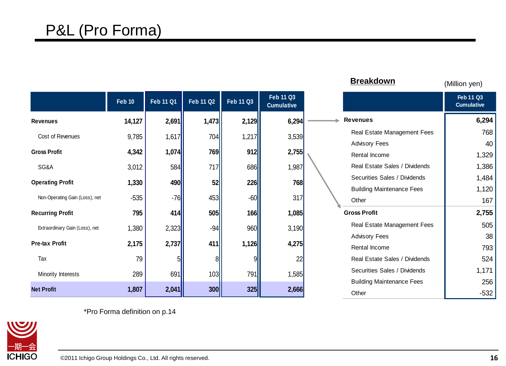|                                |               |                  |           |                  |                                       | <b>Breakdown</b>                 | (Million yen)                         |
|--------------------------------|---------------|------------------|-----------|------------------|---------------------------------------|----------------------------------|---------------------------------------|
|                                | <b>Feb 10</b> | <b>Feb 11 Q1</b> | Feb 11 Q2 | <b>Feb 11 Q3</b> | <b>Feb 11 Q3</b><br><b>Cumulative</b> |                                  | <b>Feb 11 Q3</b><br><b>Cumulative</b> |
| <b>Revenues</b>                | 14,127        | 2,691            | 1,473     | 2,129            | 6,294                                 | <b>Revenues</b>                  | 6,294                                 |
| Cost of Revenues               | 9,785         | 1,617            | 704       | 1,217            | 3,539                                 | Real Estate Management Fees      | 768                                   |
|                                |               |                  |           |                  |                                       | <b>Advisory Fees</b>             | 40                                    |
| <b>Gross Profit</b>            | 4,342         | 1,074            | 769       | 912              | 2,755                                 | Rental Income                    | 1,329                                 |
| SG&A                           | 3,012         | 584              | 717       | 686              | 1,987                                 | Real Estate Sales / Dividends    | 1,386                                 |
| <b>Operating Profit</b>        | 1,330         | 490              | 52        | 226              | 768                                   | Securities Sales / Dividends     | 1,484                                 |
|                                |               |                  |           |                  |                                       | <b>Building Maintenance Fees</b> | 1,120                                 |
| Non-Operating Gain (Loss), net | $-535$        | $-76$            | 453       | $-60$            | 317                                   | Other                            | 167                                   |
| <b>Recurring Profit</b>        | 795           | 414              | 505       | 166              | 1,085                                 | <b>Gross Profit</b>              | 2,755                                 |
| Extraordinary Gain (Loss), net | 1,380         | 2,323            | $-94$     | 960              | 3,190                                 | Real Estate Management Fees      | 505                                   |
|                                |               |                  |           |                  |                                       | <b>Advisory Fees</b>             | 38                                    |
| <b>Pre-tax Profit</b>          | 2,175         | 2,737            | 411       | 1,126            | 4,275                                 | Rental Income                    | 793                                   |
| Tax                            | 79            | 51               | 8         |                  | 22                                    | Real Estate Sales / Dividends    | 524                                   |
| Minority Interests             | 289           | 691              | 103       | 791              | 1,585                                 | Securities Sales / Dividends     | 1,171                                 |
|                                |               |                  |           |                  |                                       | <b>Building Maintenance Fees</b> | 256                                   |
| <b>Net Profit</b>              | 1,807         | 2,041            | 300       | <b>325</b>       | 2,666                                 | Other                            | $-532$                                |

\*Pro Forma definition on p.14

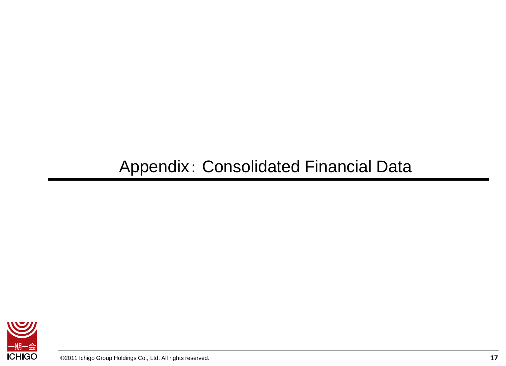# Appendix: Consolidated Financial Data

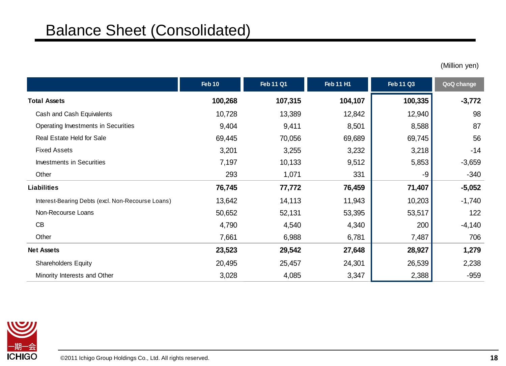#### Balance Sheet (Consolidated)

(Million yen)

|                                                   | Feb 10  | <b>Feb 11 Q1</b> | <b>Feb 11 H1</b> | <b>Feb 11 Q3</b> | QoQ change |
|---------------------------------------------------|---------|------------------|------------------|------------------|------------|
| <b>Total Assets</b>                               | 100,268 | 107,315          | 104,107          | 100,335          | $-3,772$   |
| Cash and Cash Equivalents                         | 10,728  | 13,389           | 12,842           | 12,940           | 98         |
| Operating Investments in Securities               | 9,404   | 9,411            | 8,501            | 8,588            | 87         |
| Real Estate Held for Sale                         | 69,445  | 70,056           | 69,689           | 69,745           | 56         |
| <b>Fixed Assets</b>                               | 3,201   | 3,255            | 3,232            | 3,218            | $-14$      |
| <b>Investments in Securities</b>                  | 7,197   | 10,133           | 9,512            | 5,853            | $-3,659$   |
| Other                                             | 293     | 1,071            | 331              | -9               | $-340$     |
| Liabilities                                       | 76,745  | 77,772           | 76,459           | 71,407           | $-5,052$   |
| Interest-Bearing Debts (excl. Non-Recourse Loans) | 13,642  | 14,113           | 11,943           | 10,203           | $-1,740$   |
| Non-Recourse Loans                                | 50,652  | 52,131           | 53,395           | 53,517           | 122        |
| CB                                                | 4,790   | 4,540            | 4,340            | 200              | $-4,140$   |
| Other                                             | 7,661   | 6,988            | 6,781            | 7,487            | 706        |
| <b>Net Assets</b>                                 | 23,523  | 29,542           | 27,648           | 28,927           | 1,279      |
| <b>Shareholders Equity</b>                        | 20,495  | 25,457           | 24,301           | 26,539           | 2,238      |
| Minority Interests and Other                      | 3,028   | 4,085            | 3,347            | 2,388            | $-959$     |

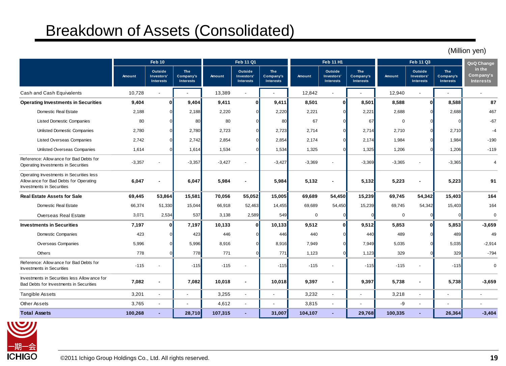#### Breakdown of Assets (Consolidated)

**Amount Outside Investors' Interests The Company's Interests Amount Outside Investors' Interests The Company's Interests Amount Outside Investors' Interests The Company's Interests Amount Outside Investors' Interests The Company's Interests** Cash and Cash Equivalents 10,728 - 1. 13,389 - 1. 12,842 - 1. 12,940 - 1. 1 **Operating Investments in Securities 9,404 <sup>0</sup> 9,404 9,411 <sup>0</sup> 9,411 8,501 <sup>0</sup> 8,501 8,588 <sup>0</sup> 8,588 8 7** Domestic Real Estate 2,188 0 2,188 2,220 0 2,220 2,221 0 2,221 2,688 0 2,688 467 Listed Domestic Companies 80 0 | 80 | 80 0 | 67 0 | 0 | -67 12.5 Equivalents 10,728 - 13,389 - 12,842 - 12,940 - 12,940 - 12,940 - 12,940 - 12,940 - 12,940 - 13,389 - 12,940 - 12,940 - 12,940 - 12,940 - 12,940 - 13,389 - 12,940 - 13,389 - 12,842 - 12,940 - 12,940 - 13,588 8 8 8 8 8 Listed Overseas Companies 2,742 0 2,742 2,854 0 2,854 2,174 0 2,174 1,984 0 1,984 1,984 -190 Unlisted Overseas Companies 1.614 0 | 1.634 0 0 1.325 0 1.206 0 1.206 -119 -3,357 - | -3,357 - 3,427 - | -3,427 - -3,369 - | -3,369 - -3,365 - | -3,365 - | -3,365 **1**,614 **1**,614 **1**,534 **1**,534 **1**,534 **1**,325 **1**,325 **1**,206 **1**,984 **1**,536 **1**<br> **6,047 1 6,047 5,984 5,984 5,132 1**,202 **1**,325 **1**,206 **1**,206 **1**,206 **1**,206 **1199**<br> **1**,614 **1**,534 **1**,325 **1 1**,325 **Real Estate Assets for Sale 69,445 53,864 15,581 70,056 55,052 15,005 69,689 54,450 15,239 69,745 54,342 15,403 164** Domestic Real Estate 66,374 51,330 | 15,044 | 66,918 52,463 | 14,455 | 69,689 54,450 | 69,745 54,342 | 15,403 | 164 Overseas Real Estate 3,071 2,534 537 3,138 2,589 549 0 0 0 0 0 **Investments in Securities 7,197 0 7,197 10,133 0 10,133 9,512 0 9,512 5,853 0 5,853 -3,659** Domestic Companies 423 0**| 423| 446 0| 440** 0| 440| 489 49| 49 Overseas Companies 5,996 0**| 5,996** 8,916 0| 7,949 0| 5,035 0 5,035 -2,914 Others 778 0| 771 0| 771| 1,123 0| 1,123| 329 0| 329| -794 -115 - | -115| -115 - | -115| -115 - | -115| - | -115| 0 **7,082 - 7,082 10,018 - 10,018 9,397 - 9,397 5,738 - 5,738 -3,659** Tangible Assets 3,201 - | - | 3,255 - | - | 3,232 - | - | 3,218 - | - | --Other Assets 3,765 - 4,612 - 3,815 - - -9 - - -**Total Assets 100,268 - 28,710 107,315 - 31,007 104,107 - 29,768 100,335 - 26,364 -3,404** Exhibition<br>
Investments Companies<br>
Investments in Securities<br>
Investments in Securities<br>
Investments in Securities<br>
Investments in Securities<br>
Investments in Securities<br>
Investments in Securities Bad Debts for Investments in Securities Listed Domestic Companies<br>
Unlisted Overseas Companies<br>
Listed Overseas Companies<br>
Unlisted Overseas Companies<br>
Reference: Allow ance for Bad Debts for<br>
Operating Investments in Securities Operating Investments in Securities **Feb 10 QoQ Change in the Company's Interests Feb 11 Q1 Feb 11 H1** Operating Investments in Securities less Listed Overseas Companies<br>
Unlisted Overseas Companies<br>
Reference: Allow ance for Bad Debts for<br>
Operating Investments in Securities<br>
Operating Investments in Securities<br>
Investments in Securities<br>
Investments in Securitie Investments in Securities **Investments in Securities**<br>
Domestic Companies<br>
Overseas Companies<br>
Others<br>
Reference: Allow ance for Bad Debts for<br>
Investments in Securities Investments in Securities **Feb 11 Q3**



(Million yen)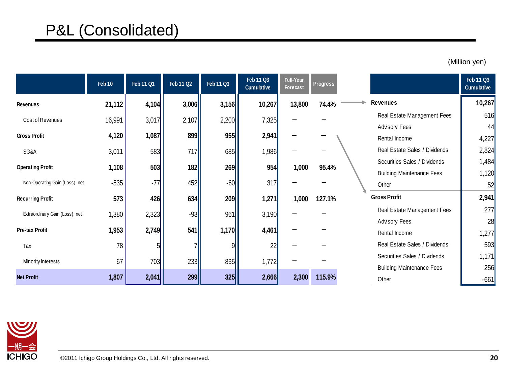### P&L (Consolidated)

|                                | Feb 10 | Feb 11 Q1 | <b>Feb 11 Q2</b> | Feb 11 Q3 | Feb 11 Q3<br><b>Cumulative</b> | <b>Full-Year</b><br><b>Forecast</b> | <b>Progress</b> |                                  | <b>Feb 11 Q3</b><br><b>Cumulative</b> |
|--------------------------------|--------|-----------|------------------|-----------|--------------------------------|-------------------------------------|-----------------|----------------------------------|---------------------------------------|
| <b>Revenues</b>                | 21,112 | 4,104     | 3,006            | 3,156     | 10,267                         | 13,800                              | 74.4%           | <b>Revenues</b>                  | 10,267                                |
| Cost of Revenues               | 16,991 | 3,017     | 2,107            | 2,200     | 7,325                          |                                     |                 | Real Estate Management Fees      | 516                                   |
|                                |        |           |                  |           |                                |                                     |                 | <b>Advisory Fees</b>             | 44                                    |
| <b>Gross Profit</b>            | 4,120  | 1,087     | 899              | 955       | 2,941                          |                                     |                 | Rental Income                    | 4,227                                 |
| SG&A                           | 3,011  | 583       | 717              | 685       | 1,986                          |                                     |                 | Real Estate Sales / Dividends    | 2,824                                 |
|                                | 1,108  | 503       | 182              |           | 954                            | 1,000                               | 95.4%           | Securities Sales / Dividends     | 1,484                                 |
| <b>Operating Profit</b>        |        |           |                  | 269       |                                |                                     |                 | <b>Building Maintenance Fees</b> | 1,120                                 |
| Non-Operating Gain (Loss), net | $-535$ | $-77$     | 452              | $-60$     | 317                            |                                     |                 | Other                            | 52                                    |
| <b>Recurring Profit</b>        | 573    | 426       | 634              | 209       | 1,271                          | 1,000                               | 127.1%          | <b>Gross Profit</b>              | 2,941                                 |
| Extraordinary Gain (Loss), net | 1,380  | 2,323     | $-93$            | 961       | 3,190                          |                                     |                 | Real Estate Management Fees      | 277                                   |
|                                |        |           |                  |           |                                |                                     |                 | <b>Advisory Fees</b>             | 28                                    |
| Pre-tax Profit                 | 1,953  | 2,749     | 541              | 1,170     | 4,461                          |                                     |                 | Rental Income                    | 1,277                                 |
| Tax                            | 78     |           |                  |           | 22                             |                                     |                 | Real Estate Sales / Dividends    | 593                                   |
|                                | 67     | 703       | 233              | 835       |                                |                                     |                 | Securities Sales / Dividends     | 1,171                                 |
| Minority Interests             |        |           |                  |           | 1,772                          |                                     |                 | <b>Building Maintenance Fees</b> | 256                                   |
| <b>Net Profit</b>              | 1,807  | 2,041     | 299              | 325       | 2,666                          | 2,300                               | 115.9%          | Other                            | $-661$                                |

(Million yen)

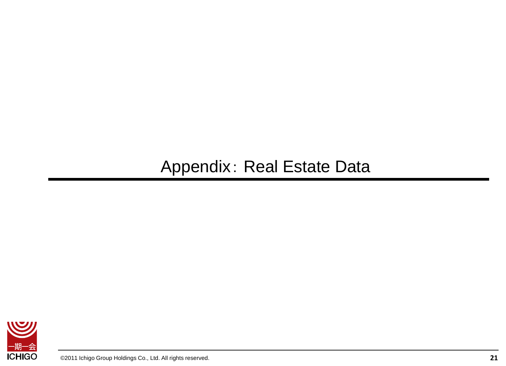## Appendix: Real Estate Data

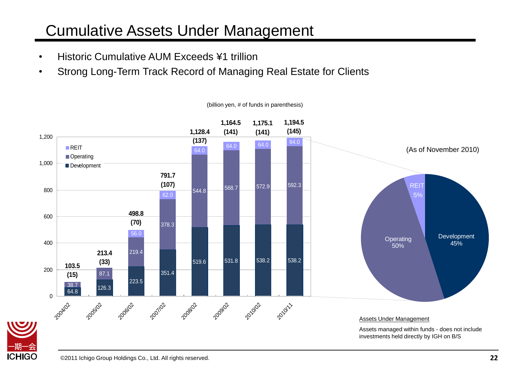### Cumulative Assets Under Management

- Historic Cumulative AUM Exceeds ¥1 trillion
- Strong Long-Term Track Record of Managing Real Estate for Clients



(billion yen, # of funds in parenthesis)

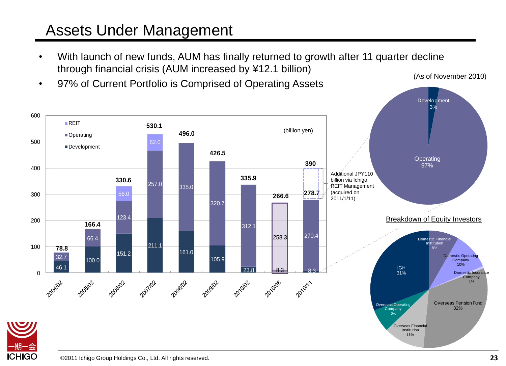#### Assets Under Management

- With launch of new funds, AUM has finally returned to growth after 11 quarter decline through financial crisis (AUM increased by ¥12.1 billion) (As of November 2010)
- 97% of Current Portfolio is Comprised of Operating Assets



**ICHIGO**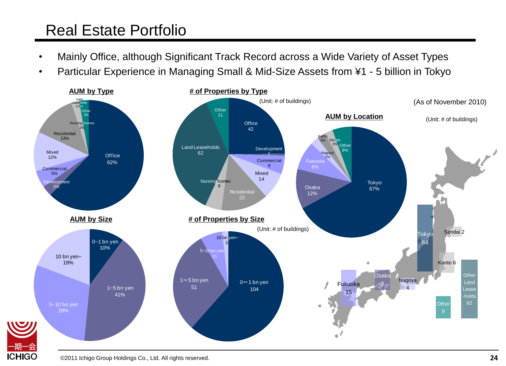### Real Estate Portfolio

- Mainly Office, although Significant Track Record across a Wide Variety of Asset Types
- Particular Experience in Managing Small & Mid-Size Assets from ¥1 5 billion in Tokyo



©2011 Ichigo Group Holdings Co., Ltd. All rights reserved.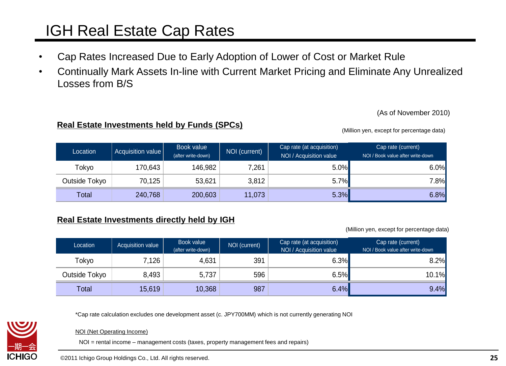### IGH Real Estate Cap Rates

- Cap Rates Increased Due to Early Adoption of Lower of Cost or Market Rule
- Continually Mark Assets In-line with Current Market Pricing and Eliminate Any Unrealized Losses from B/S

(As of November 2010)

#### **Real Estate Investments held by Funds (SPCs)**

(Million yen, except for percentage data)

| Location      | Acquisition value | Book value<br>(after write-down) | NOI (current) | Cap rate (at acquisition)<br>NOI / Acquisition value | Cap rate (current)<br>NOI / Book value after write-down |
|---------------|-------------------|----------------------------------|---------------|------------------------------------------------------|---------------------------------------------------------|
| Tokyo         | 170,643           | 146,982                          | 7,261         | $5.0\%$                                              | 6.0%                                                    |
| Outside Tokyo | 70,125            | 53,621                           | 3,812         | $5.7\%$                                              | 7.8%                                                    |
| Total         | 240,768           | 200,603                          | 11,073        | 5.3%                                                 | 6.8%                                                    |

#### **Real Estate Investments directly held by IGH**

(Million yen, except for percentage data)

| Location      | Acquisition value | Book value<br>(after write-down) | NOI (current) | Cap rate (at acquisition)<br>NOI / Acquisition value | Cap rate (current)<br>NOI / Book value after write-down |
|---------------|-------------------|----------------------------------|---------------|------------------------------------------------------|---------------------------------------------------------|
| Tokyo         | 7,126             | 4,631                            | 391           | 6.3%                                                 | $8.2\%$                                                 |
| Outside Tokyo | 8,493             | 5,737                            | 596           | 6.5%                                                 | $10.1\%$                                                |
| Total         | 15,619            | 10,368                           | 987           | 6.4%                                                 | 9.4%                                                    |

\*Cap rate calculation excludes one development asset (c. JPY700MM) which is not currently generating NOI



NOI (Net Operating Income)

NOI = rental income – management costs (taxes, property management fees and repairs)

©2011 Ichigo Group Holdings Co., Ltd. All rights reserved.